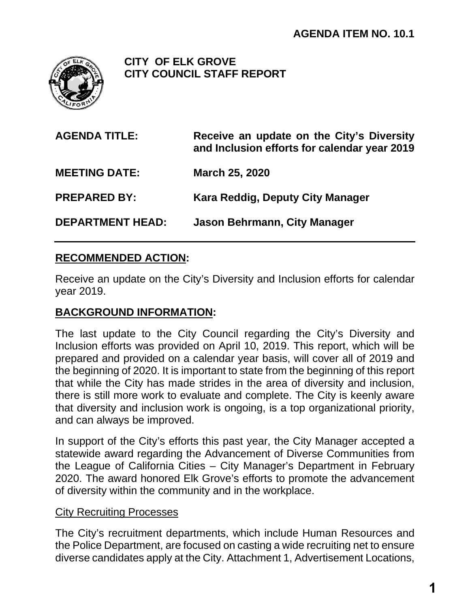

**CITY OF ELK GROVE CITY COUNCIL STAFF REPORT**

| <b>AGENDA TITLE:</b>    | Receive an update on the City's Diversity<br>and Inclusion efforts for calendar year 2019 |
|-------------------------|-------------------------------------------------------------------------------------------|
| <b>MEETING DATE:</b>    | <b>March 25, 2020</b>                                                                     |
| <b>PREPARED BY:</b>     | Kara Reddig, Deputy City Manager                                                          |
| <b>DEPARTMENT HEAD:</b> | Jason Behrmann, City Manager                                                              |

## **RECOMMENDED ACTION:**

Receive an update on the City's Diversity and Inclusion efforts for calendar year 2019.

## **BACKGROUND INFORMATION:**

The last update to the City Council regarding the City's Diversity and Inclusion efforts was provided on April 10, 2019. This report, which will be prepared and provided on a calendar year basis, will cover all of 2019 and the beginning of 2020. It is important to state from the beginning of this report that while the City has made strides in the area of diversity and inclusion, there is still more work to evaluate and complete. The City is keenly aware that diversity and inclusion work is ongoing, is a top organizational priority, and can always be improved.

In support of the City's efforts this past year, the City Manager accepted a statewide award regarding the Advancement of Diverse Communities from the League of California Cities – City Manager's Department in February 2020. The award honored Elk Grove's efforts to promote the advancement of diversity within the community and in the workplace.

#### **City Recruiting Processes**

The City's recruitment departments, which include Human Resources and the Police Department, are focused on casting a wide recruiting net to ensure diverse candidates apply at the City. Attachment 1, Advertisement Locations,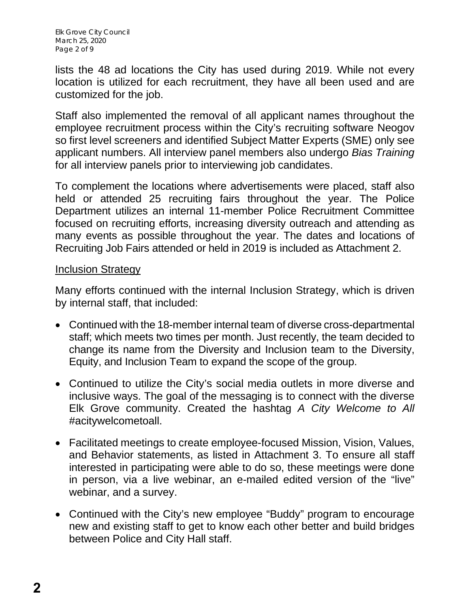Elk Grove City Council March 25, 2020 Page 2 of 9

lists the 48 ad locations the City has used during 2019. While not every location is utilized for each recruitment, they have all been used and are customized for the job.

Staff also implemented the removal of all applicant names throughout the employee recruitment process within the City's recruiting software Neogov so first level screeners and identified Subject Matter Experts (SME) only see applicant numbers. All interview panel members also undergo *Bias Training* for all interview panels prior to interviewing job candidates.

To complement the locations where advertisements were placed, staff also held or attended 25 recruiting fairs throughout the year. The Police Department utilizes an internal 11-member Police Recruitment Committee focused on recruiting efforts, increasing diversity outreach and attending as many events as possible throughout the year. The dates and locations of Recruiting Job Fairs attended or held in 2019 is included as Attachment 2.

#### Inclusion Strategy

Many efforts continued with the internal Inclusion Strategy, which is driven by internal staff, that included:

- Continued with the 18-member internal team of diverse cross-departmental staff; which meets two times per month. Just recently, the team decided to change its name from the Diversity and Inclusion team to the Diversity, Equity, and Inclusion Team to expand the scope of the group.
- Continued to utilize the City's social media outlets in more diverse and inclusive ways. The goal of the messaging is to connect with the diverse Elk Grove community. Created the hashtag *A City Welcome to All* #acitywelcometoall.
- Facilitated meetings to create employee-focused Mission, Vision, Values, and Behavior statements, as listed in Attachment 3. To ensure all staff interested in participating were able to do so, these meetings were done in person, via a live webinar, an e-mailed edited version of the "live" webinar, and a survey.
- Continued with the City's new employee "Buddy" program to encourage new and existing staff to get to know each other better and build bridges between Police and City Hall staff.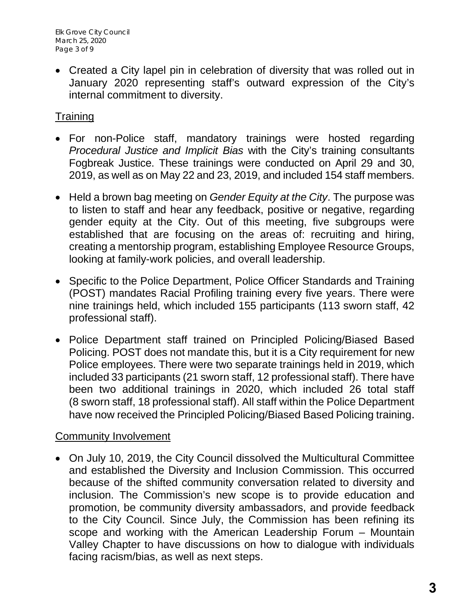• Created a City lapel pin in celebration of diversity that was rolled out in January 2020 representing staff's outward expression of the City's internal commitment to diversity.

## **Training**

- For non-Police staff, mandatory trainings were hosted regarding *Procedural Justice and Implicit Bias* with the City's training consultants Fogbreak Justice. These trainings were conducted on April 29 and 30, 2019, as well as on May 22 and 23, 2019, and included 154 staff members.
- Held a brown bag meeting on *Gender Equity at the City*. The purpose was to listen to staff and hear any feedback, positive or negative, regarding gender equity at the City. Out of this meeting, five subgroups were established that are focusing on the areas of: recruiting and hiring, creating a mentorship program, establishing Employee Resource Groups, looking at family-work policies, and overall leadership.
- Specific to the Police Department, Police Officer Standards and Training (POST) mandates Racial Profiling training every five years. There were nine trainings held, which included 155 participants (113 sworn staff, 42 professional staff).
- Police Department staff trained on Principled Policing/Biased Based Policing. POST does not mandate this, but it is a City requirement for new Police employees. There were two separate trainings held in 2019, which included 33 participants (21 sworn staff, 12 professional staff). There have been two additional trainings in 2020, which included 26 total staff (8 sworn staff, 18 professional staff). All staff within the Police Department have now received the Principled Policing/Biased Based Policing training.

## Community Involvement

• On July 10, 2019, the City Council dissolved the Multicultural Committee and established the Diversity and Inclusion Commission. This occurred because of the shifted community conversation related to diversity and inclusion. The Commission's new scope is to provide education and promotion, be community diversity ambassadors, and provide feedback to the City Council. Since July, the Commission has been refining its scope and working with the American Leadership Forum – Mountain Valley Chapter to have discussions on how to dialogue with individuals facing racism/bias, as well as next steps.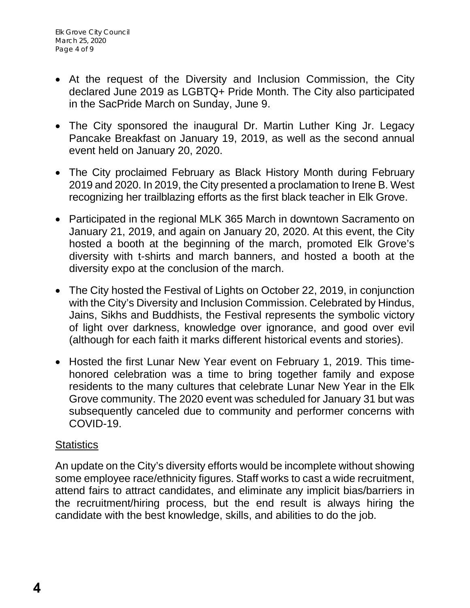- At the request of the Diversity and Inclusion Commission, the City declared June 2019 as LGBTQ+ Pride Month. The City also participated in the SacPride March on Sunday, June 9.
- The City sponsored the inaugural Dr. Martin Luther King Jr. Legacy Pancake Breakfast on January 19, 2019, as well as the second annual event held on January 20, 2020.
- The City proclaimed February as Black History Month during February 2019 and 2020. In 2019, the City presented a proclamation to Irene B. West recognizing her trailblazing efforts as the first black teacher in Elk Grove.
- Participated in the regional MLK 365 March in downtown Sacramento on January 21, 2019, and again on January 20, 2020. At this event, the City hosted a booth at the beginning of the march, promoted Elk Grove's diversity with t-shirts and march banners, and hosted a booth at the diversity expo at the conclusion of the march.
- The City hosted the Festival of Lights on October 22, 2019, in conjunction with the City's Diversity and Inclusion Commission. Celebrated by Hindus, Jains, Sikhs and Buddhists, the Festival represents the symbolic victory of light over darkness, knowledge over ignorance, and good over evil (although for each faith it marks different historical events and stories).
- Hosted the first Lunar New Year event on February 1, 2019. This timehonored celebration was a time to bring together family and expose residents to the many cultures that celebrate Lunar New Year in the Elk Grove community. The 2020 event was scheduled for January 31 but was subsequently canceled due to community and performer concerns with COVID-19.

## **Statistics**

An update on the City's diversity efforts would be incomplete without showing some employee race/ethnicity figures. Staff works to cast a wide recruitment, attend fairs to attract candidates, and eliminate any implicit bias/barriers in the recruitment/hiring process, but the end result is always hiring the candidate with the best knowledge, skills, and abilities to do the job.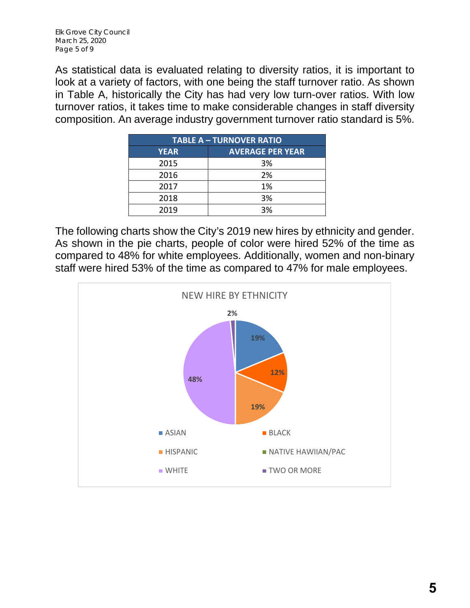As statistical data is evaluated relating to diversity ratios, it is important to look at a variety of factors, with one being the staff turnover ratio. As shown in Table A, historically the City has had very low turn-over ratios. With low turnover ratios, it takes time to make considerable changes in staff diversity composition. An average industry government turnover ratio standard is 5%.

| <b>TABLE A - TURNOVER RATIO</b> |                         |  |  |  |
|---------------------------------|-------------------------|--|--|--|
| <b>YEAR</b>                     | <b>AVERAGE PER YEAR</b> |  |  |  |
| 2015                            | 3%                      |  |  |  |
| 2016                            | 2%                      |  |  |  |
| 2017                            | 1%                      |  |  |  |
| 2018                            | 3%                      |  |  |  |
| 2019                            | 3%                      |  |  |  |

The following charts show the City's 2019 new hires by ethnicity and gender. As shown in the pie charts, people of color were hired 52% of the time as compared to 48% for white employees. Additionally, women and non-binary staff were hired 53% of the time as compared to 47% for male employees.

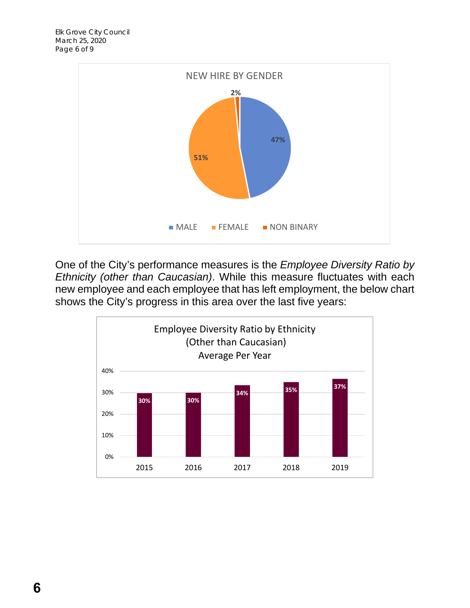

One of the City's performance measures is the *Employee Diversity Ratio by Ethnicity (other than Caucasian)*. While this measure fluctuates with each new employee and each employee that has left employment, the below chart shows the City's progress in this area over the last five years:

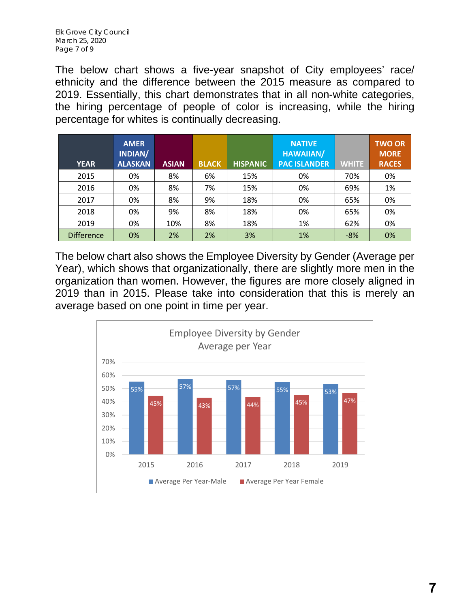The below chart shows a five-year snapshot of City employees' race/ ethnicity and the difference between the 2015 measure as compared to 2019. Essentially, this chart demonstrates that in all non-white categories, the hiring percentage of people of color is increasing, while the hiring percentage for whites is continually decreasing.

| <b>YEAR</b>       | <b>AMER</b><br>INDIAN/<br><b>ALASKAN</b> | <b>ASIAN</b> | <b>BLACK</b> | <b>HISPANIC</b> | <b>NATIVE</b><br><b>HAWAIIAN/</b><br><b>PAC ISLANDER</b> | <b>WHITE</b> | <b>TWO OR</b><br><b>MORE</b><br><b>RACES</b> |
|-------------------|------------------------------------------|--------------|--------------|-----------------|----------------------------------------------------------|--------------|----------------------------------------------|
| 2015              | 0%                                       | 8%           | 6%           | 15%             | 0%                                                       | 70%          | 0%                                           |
| 2016              | 0%                                       | 8%           | 7%           | 15%             | 0%                                                       | 69%          | 1%                                           |
| 2017              | 0%                                       | 8%           | 9%           | 18%             | 0%                                                       | 65%          | 0%                                           |
| 2018              | 0%                                       | 9%           | 8%           | 18%             | 0%                                                       | 65%          | 0%                                           |
| 2019              | 0%                                       | 10%          | 8%           | 18%             | 1%                                                       | 62%          | 0%                                           |
| <b>Difference</b> | 0%                                       | 2%           | 2%           | 3%              | 1%                                                       | $-8%$        | 0%                                           |

The below chart also shows the Employee Diversity by Gender (Average per Year), which shows that organizationally, there are slightly more men in the organization than women. However, the figures are more closely aligned in 2019 than in 2015. Please take into consideration that this is merely an average based on one point in time per year.

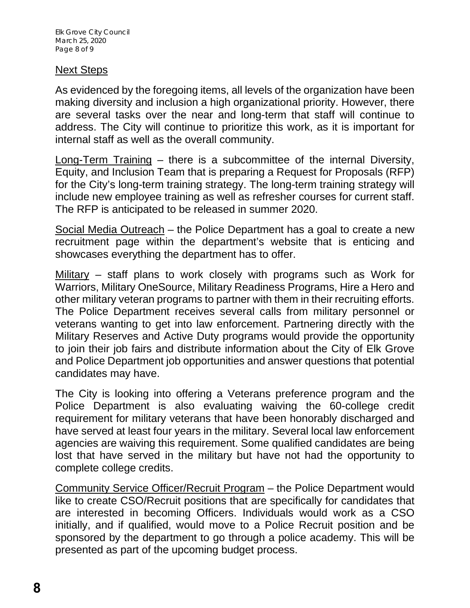### Next Steps

As evidenced by the foregoing items, all levels of the organization have been making diversity and inclusion a high organizational priority. However, there are several tasks over the near and long-term that staff will continue to address. The City will continue to prioritize this work, as it is important for internal staff as well as the overall community.

Long-Term Training – there is a subcommittee of the internal Diversity, Equity, and Inclusion Team that is preparing a Request for Proposals (RFP) for the City's long-term training strategy. The long-term training strategy will include new employee training as well as refresher courses for current staff. The RFP is anticipated to be released in summer 2020.

Social Media Outreach – the Police Department has a goal to create a new recruitment page within the department's website that is enticing and showcases everything the department has to offer.

Military – staff plans to work closely with programs such as Work for Warriors, Military OneSource, Military Readiness Programs, Hire a Hero and other military veteran programs to partner with them in their recruiting efforts. The Police Department receives several calls from military personnel or veterans wanting to get into law enforcement. Partnering directly with the Military Reserves and Active Duty programs would provide the opportunity to join their job fairs and distribute information about the City of Elk Grove and Police Department job opportunities and answer questions that potential candidates may have.

The City is looking into offering a Veterans preference program and the Police Department is also evaluating waiving the 60-college credit requirement for military veterans that have been honorably discharged and have served at least four years in the military. Several local law enforcement agencies are waiving this requirement. Some qualified candidates are being lost that have served in the military but have not had the opportunity to complete college credits.

Community Service Officer/Recruit Program – the Police Department would like to create CSO/Recruit positions that are specifically for candidates that are interested in becoming Officers. Individuals would work as a CSO initially, and if qualified, would move to a Police Recruit position and be sponsored by the department to go through a police academy. This will be presented as part of the upcoming budget process.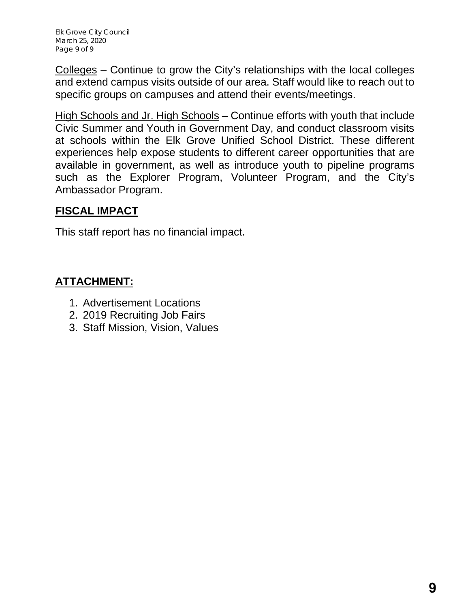Elk Grove City Council March 25, 2020 Page 9 of 9

Colleges – Continue to grow the City's relationships with the local colleges and extend campus visits outside of our area. Staff would like to reach out to specific groups on campuses and attend their events/meetings.

High Schools and Jr. High Schools – Continue efforts with youth that include Civic Summer and Youth in Government Day, and conduct classroom visits at schools within the Elk Grove Unified School District. These different experiences help expose students to different career opportunities that are available in government, as well as introduce youth to pipeline programs such as the Explorer Program, Volunteer Program, and the City's Ambassador Program.

## **FISCAL IMPACT**

This staff report has no financial impact.

## **ATTACHMENT:**

- 1. Advertisement Locations
- 2. 2019 Recruiting Job Fairs
- 3. Staff Mission, Vision, Values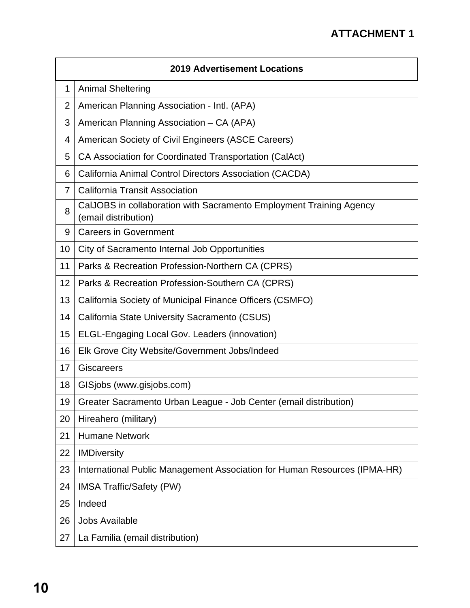|                | <b>2019 Advertisement Locations</b>                                                         |  |  |  |
|----------------|---------------------------------------------------------------------------------------------|--|--|--|
| 1              | <b>Animal Sheltering</b>                                                                    |  |  |  |
| 2              | American Planning Association - Intl. (APA)                                                 |  |  |  |
| 3              | American Planning Association - CA (APA)                                                    |  |  |  |
| 4              | American Society of Civil Engineers (ASCE Careers)                                          |  |  |  |
| 5              | CA Association for Coordinated Transportation (CalAct)                                      |  |  |  |
| 6              | California Animal Control Directors Association (CACDA)                                     |  |  |  |
| $\overline{7}$ | <b>California Transit Association</b>                                                       |  |  |  |
| 8              | CalJOBS in collaboration with Sacramento Employment Training Agency<br>(email distribution) |  |  |  |
| 9              | <b>Careers in Government</b>                                                                |  |  |  |
| 10             | City of Sacramento Internal Job Opportunities                                               |  |  |  |
| 11             | Parks & Recreation Profession-Northern CA (CPRS)                                            |  |  |  |
| 12             | Parks & Recreation Profession-Southern CA (CPRS)                                            |  |  |  |
| 13             | California Society of Municipal Finance Officers (CSMFO)                                    |  |  |  |
| 14             | California State University Sacramento (CSUS)                                               |  |  |  |
| 15             | ELGL-Engaging Local Gov. Leaders (innovation)                                               |  |  |  |
| 16             | Elk Grove City Website/Government Jobs/Indeed                                               |  |  |  |
| 17             | <b>Giscareers</b>                                                                           |  |  |  |
| 18             | GISjobs (www.gisjobs.com)                                                                   |  |  |  |
| 19             | Greater Sacramento Urban League - Job Center (email distribution)                           |  |  |  |
| 20             | Hireahero (military)                                                                        |  |  |  |
| 21             | <b>Humane Network</b>                                                                       |  |  |  |
| 22             | <b>IMDiversity</b>                                                                          |  |  |  |
| 23             | International Public Management Association for Human Resources (IPMA-HR)                   |  |  |  |
| 24             | <b>IMSA Traffic/Safety (PW)</b>                                                             |  |  |  |
| 25             | Indeed                                                                                      |  |  |  |
| 26             | <b>Jobs Available</b>                                                                       |  |  |  |
| 27             | La Familia (email distribution)                                                             |  |  |  |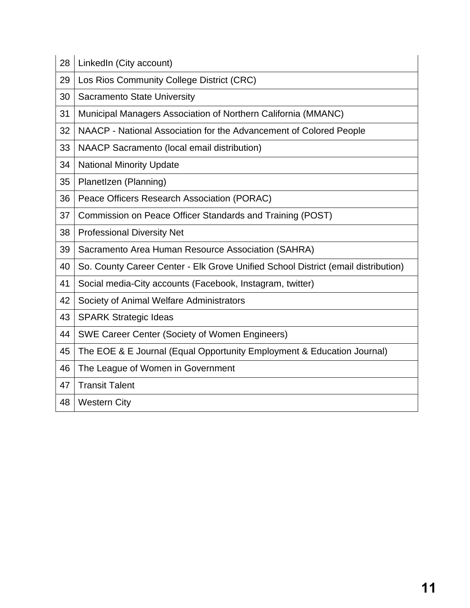| 28 | LinkedIn (City account)                                                           |
|----|-----------------------------------------------------------------------------------|
| 29 | Los Rios Community College District (CRC)                                         |
| 30 | <b>Sacramento State University</b>                                                |
| 31 | Municipal Managers Association of Northern California (MMANC)                     |
| 32 | NAACP - National Association for the Advancement of Colored People                |
| 33 | NAACP Sacramento (local email distribution)                                       |
| 34 | <b>National Minority Update</b>                                                   |
| 35 | PlanetIzen (Planning)                                                             |
| 36 | Peace Officers Research Association (PORAC)                                       |
| 37 | Commission on Peace Officer Standards and Training (POST)                         |
| 38 | <b>Professional Diversity Net</b>                                                 |
| 39 | Sacramento Area Human Resource Association (SAHRA)                                |
| 40 | So. County Career Center - Elk Grove Unified School District (email distribution) |
| 41 | Social media-City accounts (Facebook, Instagram, twitter)                         |
| 42 | Society of Animal Welfare Administrators                                          |
| 43 | <b>SPARK Strategic Ideas</b>                                                      |
| 44 | <b>SWE Career Center (Society of Women Engineers)</b>                             |
| 45 | The EOE & E Journal (Equal Opportunity Employment & Education Journal)            |
| 46 | The League of Women in Government                                                 |
| 47 | <b>Transit Talent</b>                                                             |
| 48 | <b>Western City</b>                                                               |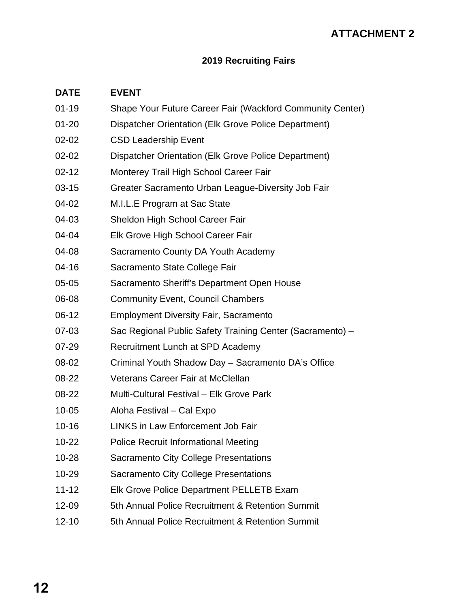## **ATTACHMENT 2**

#### **2019 Recruiting Fairs**

#### **DATE EVENT**

- 01-19 Shape Your Future Career Fair (Wackford Community Center)
- 01-20 Dispatcher Orientation (Elk Grove Police Department)
- 02-02 CSD Leadership Event
- 02-02 Dispatcher Orientation (Elk Grove Police Department)
- 02-12 Monterey Trail High School Career Fair
- 03-15 Greater Sacramento Urban League-Diversity Job Fair
- 04-02 M.I.L.E Program at Sac State
- 04-03 Sheldon High School Career Fair
- 04-04 Elk Grove High School Career Fair
- 04-08 Sacramento County DA Youth Academy
- 04-16 Sacramento State College Fair
- 05-05 Sacramento Sheriff's Department Open House
- 06-08 Community Event, Council Chambers
- 06-12 Employment Diversity Fair, Sacramento
- 07-03 Sac Regional Public Safety Training Center (Sacramento) –
- 07-29 Recruitment Lunch at SPD Academy
- 08-02 Criminal Youth Shadow Day Sacramento DA's Office
- 08-22 Veterans Career Fair at McClellan
- 08-22 Multi-Cultural Festival Elk Grove Park
- 10-05 Aloha Festival Cal Expo
- 10-16 LINKS in Law Enforcement Job Fair
- 10-22 Police Recruit Informational Meeting
- 10-28 Sacramento City College Presentations
- 10-29 Sacramento City College Presentations
- 11-12 Elk Grove Police Department PELLETB Exam
- 12-09 5th Annual Police Recruitment & Retention Summit
- 12-10 5th Annual Police Recruitment & Retention Summit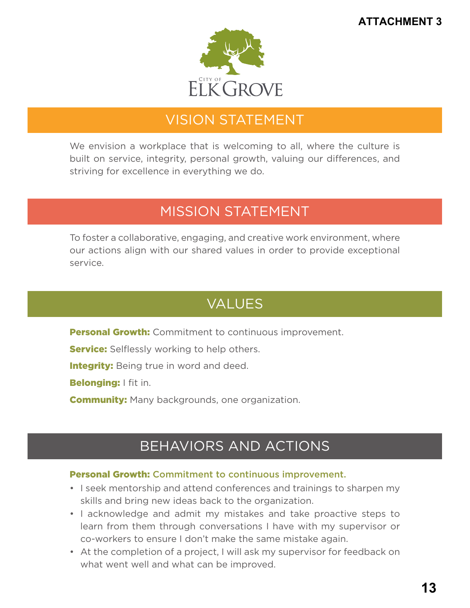

# VISION STATEMENT

We envision a workplace that is welcoming to all, where the culture is built on service, integrity, personal growth, valuing our differences, and striving for excellence in everything we do.

## MISSION STATEMENT

To foster a collaborative, engaging, and creative work environment, where our actions align with our shared values in order to provide exceptional service.

# VALUES

**Personal Growth:** Commitment to continuous improvement.

**Service:** Selflessly working to help others.

**Integrity:** Being true in word and deed.

Belonging: I fit in.

**Community:** Many backgrounds, one organization.

# BEHAVIORS AND ACTIONS

#### Personal Growth: Commitment to continuous improvement.

- I seek mentorship and attend conferences and trainings to sharpen my skills and bring new ideas back to the organization.
- I acknowledge and admit my mistakes and take proactive steps to learn from them through conversations I have with my supervisor or co-workers to ensure I don't make the same mistake again.
- At the completion of a project, I will ask my supervisor for feedback on what went well and what can be improved.